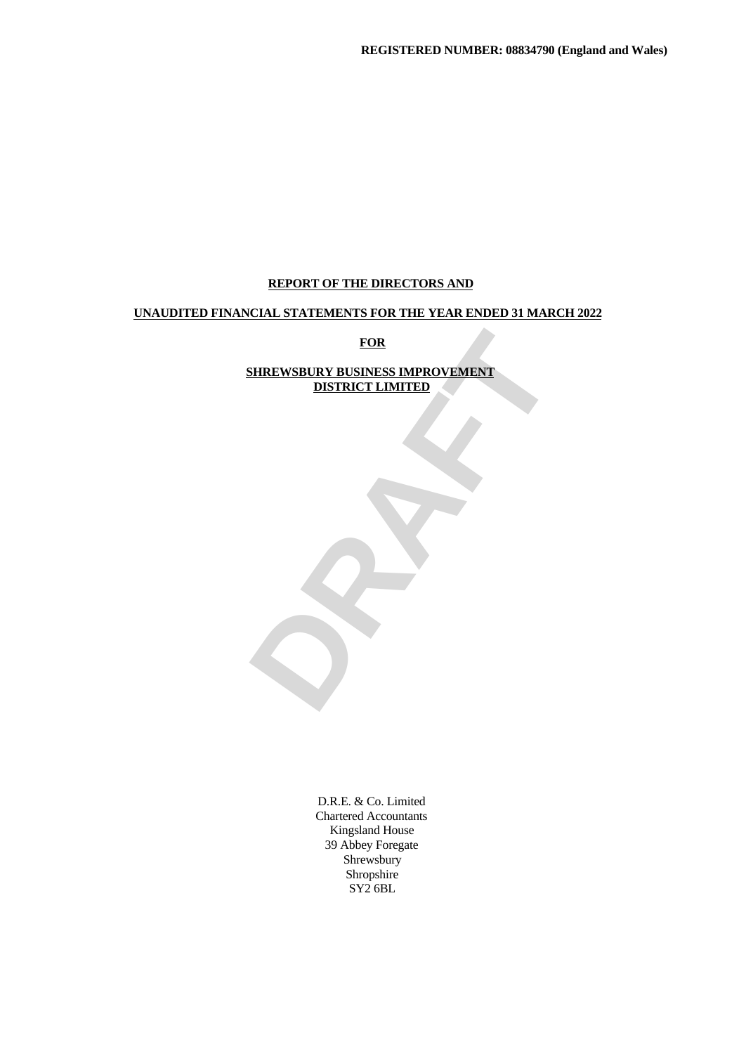# **REPORT OF THE DIRECTORS AND**

## **UNAUDITED FINANCIAL STATEMENTS FOR THE YEAR ENDED 31 MARCH 2022**

**FOR**

# FOR<br>DISTRICT LIMITED<br>DISTRICT LIMITED<br>TRAFFICE LIMITED **SHREWSBURY BUSINESS IMPROVEMENT DISTRICT LIMITED**

D.R.E. & Co. Limited Chartered Accountants Kingsland House 39 Abbey Foregate Shrewsbury Shropshire SY2 6BL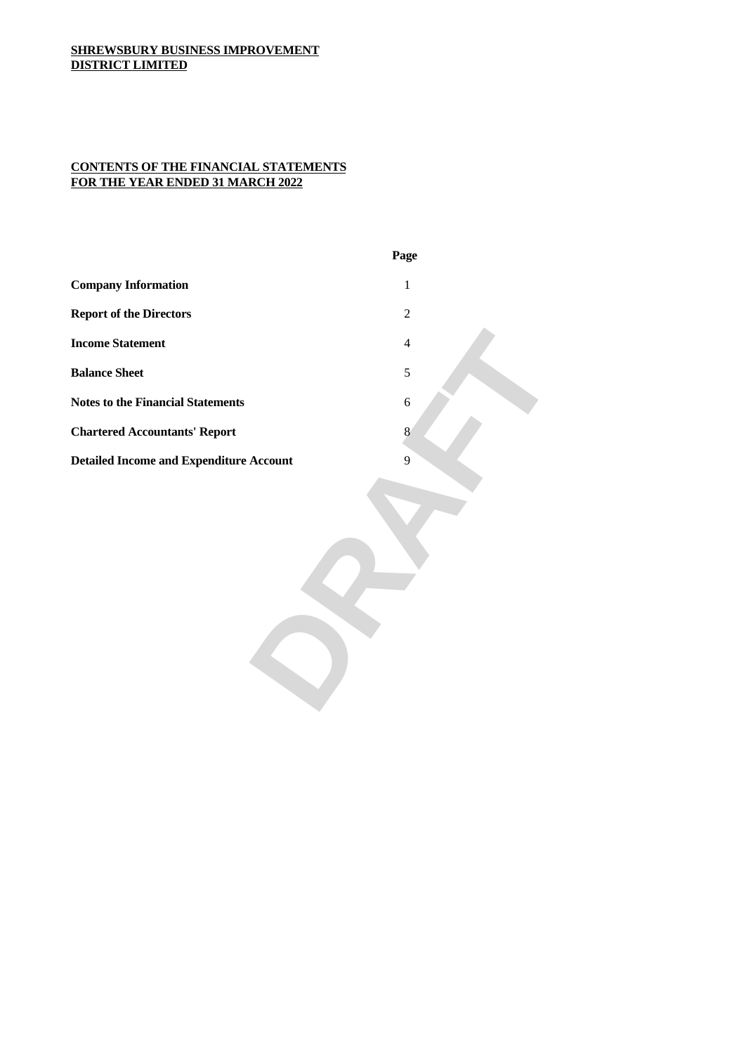## **CONTENTS OF THE FINANCIAL STATEMENTS FOR THE YEAR ENDED 31 MARCH 2022**

|                                                | Page |
|------------------------------------------------|------|
| <b>Company Information</b>                     |      |
| <b>Report of the Directors</b>                 |      |
| <b>Income Statement</b>                        |      |
| <b>Balance Sheet</b>                           |      |
| <b>Notes to the Financial Statements</b>       |      |
| <b>Chartered Accountants' Report</b>           |      |
| <b>Detailed Income and Expenditure Account</b> |      |
|                                                |      |
|                                                |      |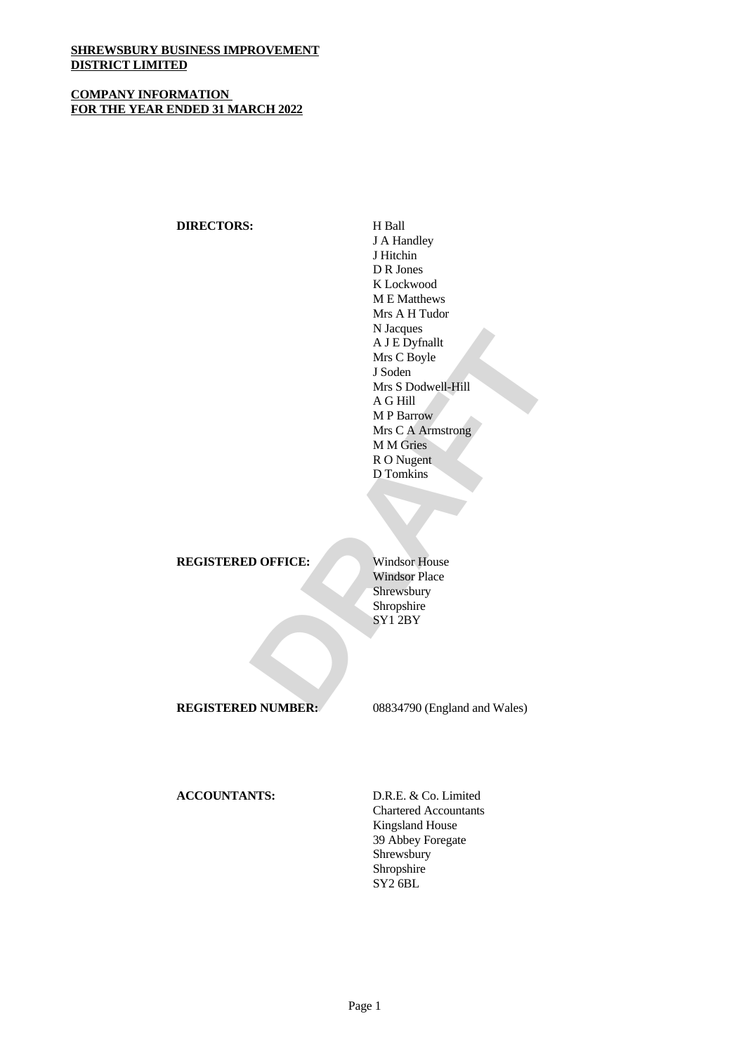## **COMPANY INFORMATION FOR THE YEAR ENDED 31 MARCH 2022**

## **DIRECTORS:** H Ball

Nacques<br>
A IE Dyfnallt<br>
Mrs C Boyle<br>
J Soden<br>
Mrs S Dodwell-Hill<br>
A G Hill<br>
MR C A Armstrong<br>
MM Gries<br>
MN G C A Armstrong<br>
MM Gries<br>
R O Nugent<br>
D Tomkins<br>
D Tomkins<br>
D Tomkins<br>
Shropshire<br>
Shropshire<br>
Shropshire<br>
Shropsh J A Handley J Hitchin D R Jones K Lockwood M E Matthews Mrs A H Tudor N Jacques A J E Dyfnallt Mrs C Boyle J Soden Mrs S Dodwell-Hill A G Hill M P Barrow Mrs C A Armstrong M M Gries R O Nugent D Tomkins

**REGISTERED OFFICE:** Windsor House

Windsor Place Shrewsbury Shropshire SY1 2BY

**REGISTERED NUMBER:** 08834790 (England and Wales)

**ACCOUNTANTS:** D.R.E. & Co. Limited

Chartered Accountants Kingsland House 39 Abbey Foregate Shrewsbury Shropshire SY2 6BL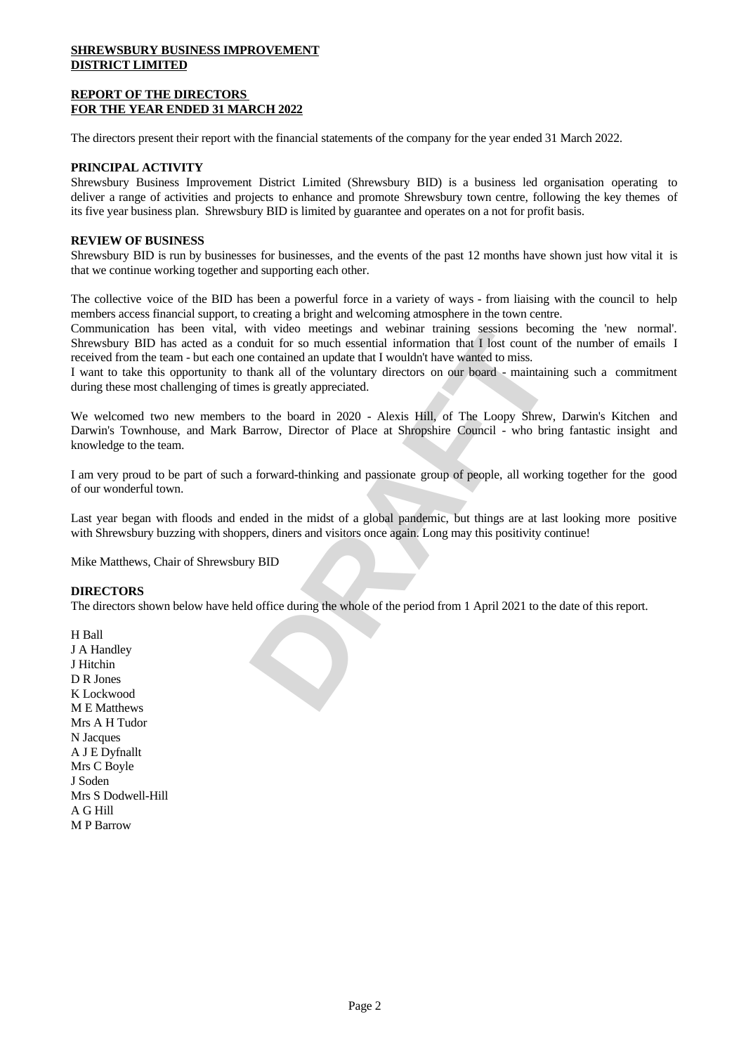#### **REPORT OF THE DIRECTORS FOR THE YEAR ENDED 31 MARCH 2022**

The directors present their report with the financial statements of the company for the year ended 31 March 2022.

#### **PRINCIPAL ACTIVITY**

Shrewsbury Business Improvement District Limited (Shrewsbury BID) is a business led organisation operating to deliver a range of activities and projects to enhance and promote Shrewsbury town centre, following the key themes of its five year business plan. Shrewsbury BID is limited by guarantee and operates on a not for profit basis.

#### **REVIEW OF BUSINESS**

Shrewsbury BID is run by businesses for businesses, and the events of the past 12 months have shown just how vital it is that we continue working together and supporting each other.

The collective voice of the BID has been a powerful force in a variety of ways - from liaising with the council to help members access financial support, to creating a bright and welcoming atmosphere in the town centre.

Communication has been vital, with video meetings and webinar training sessions becoming the 'new normal'. Shrewsbury BID has acted as a conduit for so much essential information that I lost count of the number of emails I received from the team - but each one contained an update that I wouldn't have wanted to miss.

I want to take this opportunity to thank all of the voluntary directors on our board - maintaining such a commitment during these most challenging of times is greatly appreciated.

with video meetings and webtinar training sessions becoming the 'new normal'.<br>Induit for so much essential information that I lost count of the number of emails I<br>electrotriand an update that I wouldn't have wanted to miss We welcomed two new members to the board in 2020 - Alexis Hill, of The Loopy Shrew, Darwin's Kitchen and Darwin's Townhouse, and Mark Barrow, Director of Place at Shropshire Council - who bring fantastic insight and knowledge to the team.

I am very proud to be part of such a forward-thinking and passionate group of people, all working together for the good of our wonderful town.

Last year began with floods and ended in the midst of a global pandemic, but things are at last looking more positive with Shrewsbury buzzing with shoppers, diners and visitors once again. Long may this positivity continue!

Mike Matthews, Chair of Shrewsbury BID

#### **DIRECTORS**

The directors shown below have held office during the whole of the period from 1 April 2021 to the date of this report.

H Ball J A Handley J Hitchin D R Jones K Lockwood M E Matthews Mrs A H Tudor N Jacques A J E Dyfnallt Mrs C Boyle J Soden Mrs S Dodwell-Hill A G Hill M P Barrow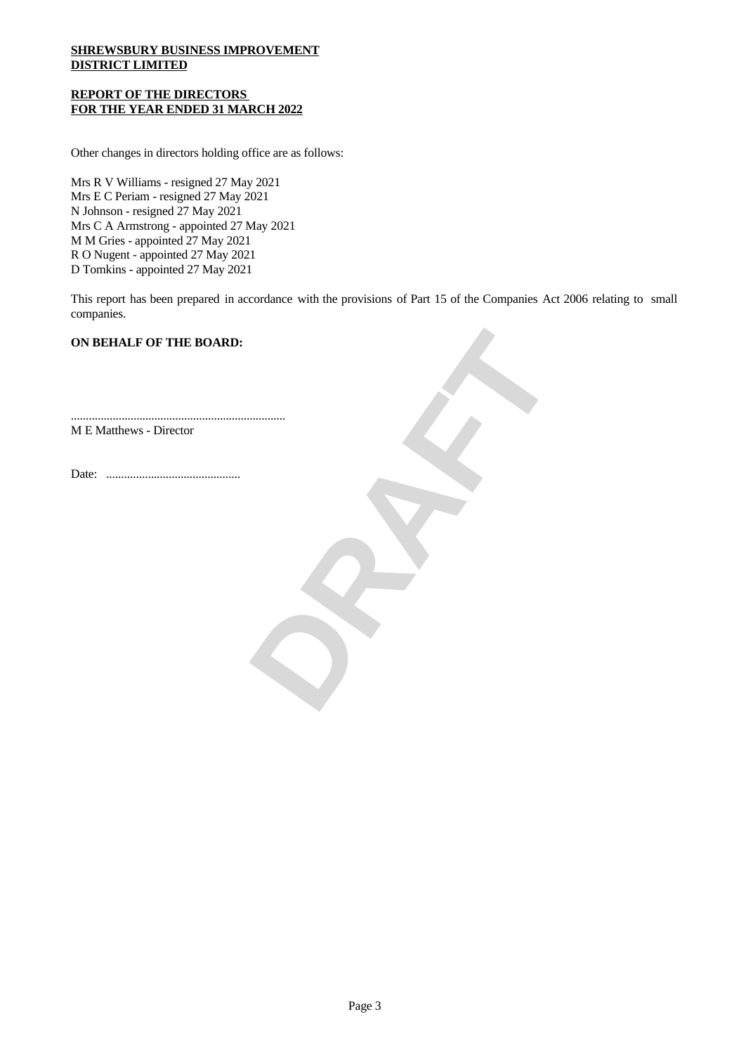#### **REPORT OF THE DIRECTORS FOR THE YEAR ENDED 31 MARCH 2022**

Other changes in directors holding office are as follows:

Mrs R V Williams - resigned 27 May 2021 Mrs E C Periam - resigned 27 May 2021 N Johnson - resigned 27 May 2021 Mrs C A Armstrong - appointed 27 May 2021 M M Gries - appointed 27 May 2021 R O Nugent - appointed 27 May 2021 D Tomkins - appointed 27 May 2021

This report has been prepared in accordance with the provisions of Part 15 of the Companies Act 2006 relating to small companies.

**DRAFT**

### **ON BEHALF OF THE BOARD:**

M E Matthews - Director

Date: .............................................

........................................................................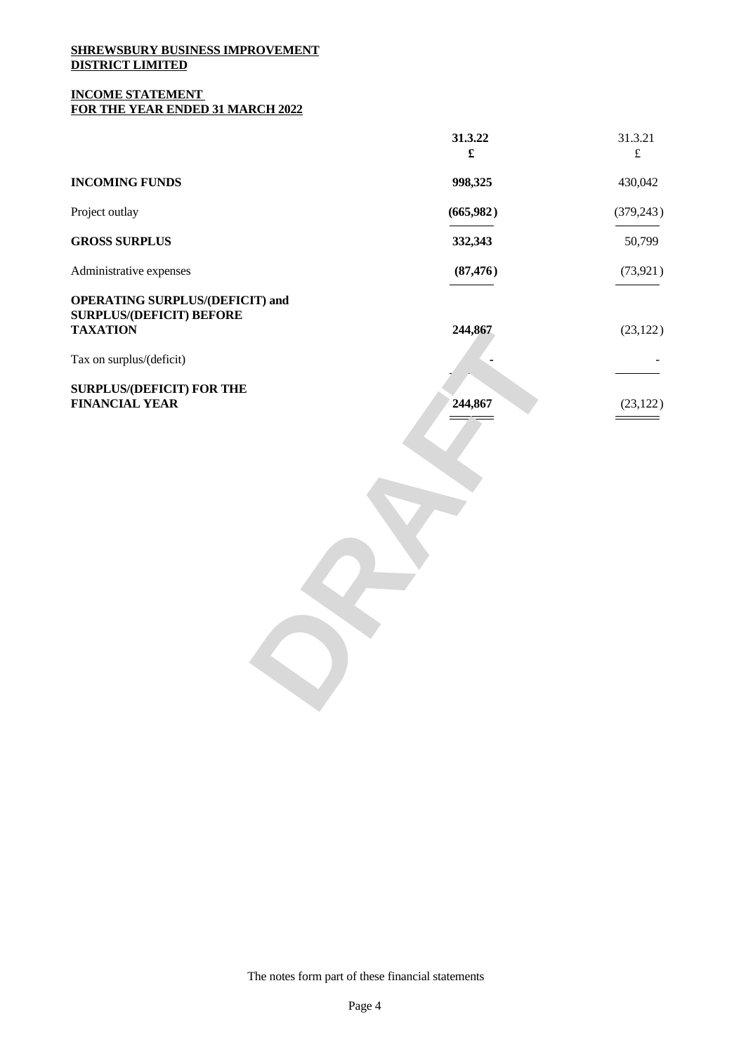#### **INCOME STATEMENT FOR THE YEAR ENDED 31 MARCH 2022**

|                                                                                              | 31.3.22<br>$\mathbf f$                                                                                                                                                                                                                                                                                                                                                                                                                                                                  | 31.3.21<br>$\mathbf f$                                                                                                                                                                                                                                                                                                                                                                                                                                      |
|----------------------------------------------------------------------------------------------|-----------------------------------------------------------------------------------------------------------------------------------------------------------------------------------------------------------------------------------------------------------------------------------------------------------------------------------------------------------------------------------------------------------------------------------------------------------------------------------------|-------------------------------------------------------------------------------------------------------------------------------------------------------------------------------------------------------------------------------------------------------------------------------------------------------------------------------------------------------------------------------------------------------------------------------------------------------------|
| <b>INCOMING FUNDS</b>                                                                        | 998,325                                                                                                                                                                                                                                                                                                                                                                                                                                                                                 | 430,042                                                                                                                                                                                                                                                                                                                                                                                                                                                     |
| Project outlay                                                                               | (665,982)                                                                                                                                                                                                                                                                                                                                                                                                                                                                               | (379, 243)<br>$\frac{1}{1} \left( \frac{1}{1} \right)^{2} \left( \frac{1}{1} \right)^{2} \left( \frac{1}{1} \right)^{2} \left( \frac{1}{1} \right)^{2} \left( \frac{1}{1} \right)^{2} \left( \frac{1}{1} \right)^{2} \left( \frac{1}{1} \right)^{2} \left( \frac{1}{1} \right)^{2} \left( \frac{1}{1} \right)^{2} \left( \frac{1}{1} \right)^{2} \left( \frac{1}{1} \right)^{2} \left( \frac{1}{1} \right)^{2} \left( \frac{1}{1} \right)^{2} \left( \frac$ |
| <b>GROSS SURPLUS</b>                                                                         | 332,343                                                                                                                                                                                                                                                                                                                                                                                                                                                                                 | 50,799                                                                                                                                                                                                                                                                                                                                                                                                                                                      |
| Administrative expenses                                                                      | (87, 476)<br>$\frac{1}{2} \left( \frac{1}{2} \right) \left( \frac{1}{2} \right) \left( \frac{1}{2} \right) \left( \frac{1}{2} \right) \left( \frac{1}{2} \right) \left( \frac{1}{2} \right) \left( \frac{1}{2} \right) \left( \frac{1}{2} \right) \left( \frac{1}{2} \right) \left( \frac{1}{2} \right) \left( \frac{1}{2} \right) \left( \frac{1}{2} \right) \left( \frac{1}{2} \right) \left( \frac{1}{2} \right) \left( \frac{1}{2} \right) \left( \frac{1}{2} \right) \left( \frac$ | (73, 921)<br>$\overline{\phantom{a}}$                                                                                                                                                                                                                                                                                                                                                                                                                       |
| <b>OPERATING SURPLUS/(DEFICIT) and</b><br><b>SURPLUS/(DEFICIT) BEFORE</b><br><b>TAXATION</b> | 244,867                                                                                                                                                                                                                                                                                                                                                                                                                                                                                 | (23, 122)                                                                                                                                                                                                                                                                                                                                                                                                                                                   |
| Tax on surplus/(deficit)                                                                     |                                                                                                                                                                                                                                                                                                                                                                                                                                                                                         | <b>Contractor</b><br>$\overbrace{\hspace{25mm}}$                                                                                                                                                                                                                                                                                                                                                                                                            |
| <b>SURPLUS/(DEFICIT) FOR THE</b><br><b>FINANCIAL YEAR</b>                                    | 244,867<br>$\qquad \qquad \Rightarrow$                                                                                                                                                                                                                                                                                                                                                                                                                                                  | (23, 122)<br>$\qquad \qquad =\qquad$                                                                                                                                                                                                                                                                                                                                                                                                                        |

The notes form part of these financial statements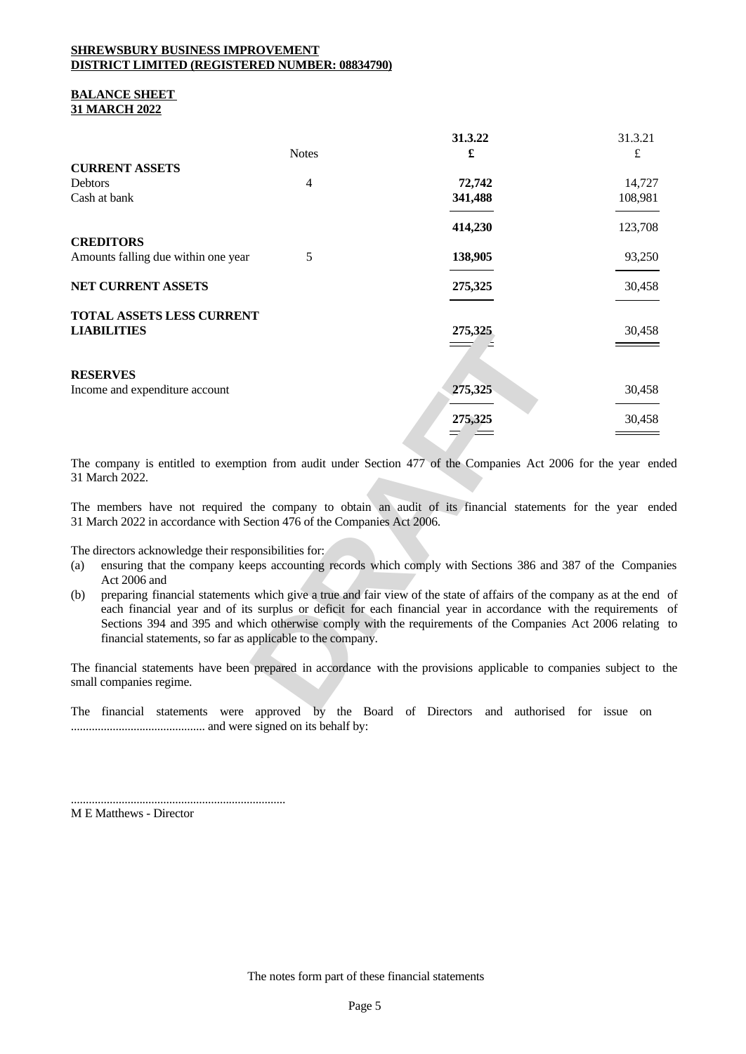#### **SHREWSBURY BUSINESS IMPROVEMENT DISTRICT LIMITED (REGISTERED NUMBER: 08834790)**

#### **BALANCE SHEET 31 MARCH 2022**

|                                                                                                                            |              | 31.3.22                                                                                                                                                                                                                         | 31.3.21                            |
|----------------------------------------------------------------------------------------------------------------------------|--------------|---------------------------------------------------------------------------------------------------------------------------------------------------------------------------------------------------------------------------------|------------------------------------|
|                                                                                                                            | <b>Notes</b> |                                                                                                                                                                                                                                 |                                    |
| <b>CURRENT ASSETS</b><br>Debtors                                                                                           |              | 72,742                                                                                                                                                                                                                          | 14,727                             |
| Cash at bank                                                                                                               |              | 341,488                                                                                                                                                                                                                         | 108,981                            |
|                                                                                                                            |              | $\overline{\phantom{a}}$                                                                                                                                                                                                        | $\overline{\phantom{a}}$           |
|                                                                                                                            |              | 414,230                                                                                                                                                                                                                         | 123,708                            |
| <b>CREDITORS</b>                                                                                                           |              |                                                                                                                                                                                                                                 |                                    |
| Amounts falling due within one year                                                                                        |              | 138,905                                                                                                                                                                                                                         | 93,250                             |
|                                                                                                                            |              |                                                                                                                                                                                                                                 |                                    |
| NET CURRENT ASSETS                                                                                                         |              | 275,325<br>the contract of the contract of the                                                                                                                                                                                  | 30,458<br>$\overline{\phantom{a}}$ |
| <b>TOTAL ASSETS LESS CURRENT</b>                                                                                           |              |                                                                                                                                                                                                                                 |                                    |
| <b>LIABILITIES</b>                                                                                                         |              | 275,325                                                                                                                                                                                                                         | 30,458                             |
|                                                                                                                            |              | $\implies$ $\equiv$                                                                                                                                                                                                             |                                    |
|                                                                                                                            |              |                                                                                                                                                                                                                                 |                                    |
| <b>RESERVES</b>                                                                                                            |              |                                                                                                                                                                                                                                 |                                    |
| Income and expenditure account                                                                                             |              | 275,325                                                                                                                                                                                                                         | 30,458<br><u> London Communica</u> |
|                                                                                                                            |              | 275,325                                                                                                                                                                                                                         | 30,458                             |
|                                                                                                                            |              | $\equiv$                                                                                                                                                                                                                        | $\qquad \qquad =$                  |
|                                                                                                                            |              |                                                                                                                                                                                                                                 |                                    |
| The company is entitled to exemption from audit under Section 477 of the Companies Act 2006 for the year ended             |              |                                                                                                                                                                                                                                 |                                    |
| 31 March 2022.                                                                                                             |              |                                                                                                                                                                                                                                 |                                    |
| The members have not required the company to obtain an audit of its financial statements for the year ended                |              |                                                                                                                                                                                                                                 |                                    |
| 31 March 2022 in accordance with Section 476 of the Companies Act 2006.                                                    |              |                                                                                                                                                                                                                                 |                                    |
|                                                                                                                            |              |                                                                                                                                                                                                                                 |                                    |
| The directors acknowledge their responsibilities for:                                                                      |              |                                                                                                                                                                                                                                 |                                    |
| (a) ensuring that the company keeps accounting records which comply with Sections 386 and 387 of the Companies             |              |                                                                                                                                                                                                                                 |                                    |
| Act 2006 and                                                                                                               |              |                                                                                                                                                                                                                                 |                                    |
| (b) preparing financial statements which give a true and fair view of the state of affairs of the company as at the end of |              |                                                                                                                                                                                                                                 |                                    |
|                                                                                                                            |              | each financial year and of its surplus or deficit for each financial year in accordance with the requirements of<br>Sections 394 and 395 and which otherwise comply with the requirements of the Companies Act 2006 relating to |                                    |
| financial statements, so far as applicable to the company.                                                                 |              |                                                                                                                                                                                                                                 |                                    |
|                                                                                                                            |              |                                                                                                                                                                                                                                 |                                    |
| The financial statements have been prepared in accordance with the provisions applicable to companies subject to the       |              |                                                                                                                                                                                                                                 |                                    |
| small companies regime.                                                                                                    |              |                                                                                                                                                                                                                                 |                                    |
| THe Country against the community de Deed of Direction and control Control of the                                          |              |                                                                                                                                                                                                                                 |                                    |
|                                                                                                                            |              |                                                                                                                                                                                                                                 |                                    |

- (a) ensuring that the company keeps accounting records which comply with Sections 386 and 387 of the Companies Act 2006 and
- (b) preparing financial statements which give a true and fair view of the state of affairs of the company as at the end of each financial year and of its surplus or deficit for each financial year in accordance with the requirements of Sections 394 and 395 and which otherwise comply with the requirements of the Companies Act 2006 relating to financial statements, so far as applicable to the company.

The financial statements were approved by the Board of Directors and authorised for issue on ............................................. and were signed on its behalf by:

........................................................................

M E Matthews - Director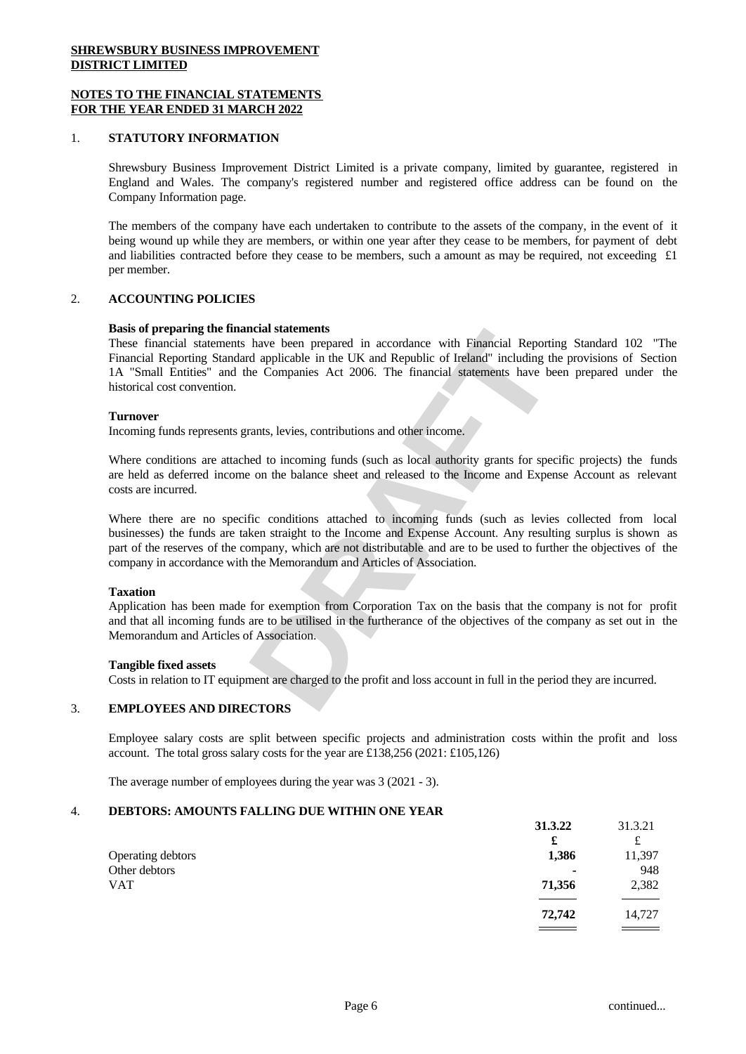#### **NOTES TO THE FINANCIAL STATEMENTS FOR THE YEAR ENDED 31 MARCH 2022**

#### 1. **STATUTORY INFORMATION**

Shrewsbury Business Improvement District Limited is a private company, limited by guarantee, registered in England and Wales. The company's registered number and registered office address can be found on the Company Information page.

The members of the company have each undertaken to contribute to the assets of the company, in the event of it being wound up while they are members, or within one year after they cease to be members, for payment of debt and liabilities contracted before they cease to be members, such a amount as may be required, not exceeding  $\pounds 1$ per member.

#### 2. **ACCOUNTING POLICIES**

#### **Basis of preparing the financial statements**

ncial statements<br>have been prepared in accordance with Financial Reporting Standard 102 "The<br>d applicable in the UK and Republic of Ireland" including the provisions of Section<br>he Companies Act 2006. The financial statemen These financial statements have been prepared in accordance with Financial Reporting Standard 102 "The Financial Reporting Standard applicable in the UK and Republic of Ireland" including the provisions of Section 1A "Small Entities" and the Companies Act 2006. The financial statements have been prepared under the historical cost convention.

#### **Turnover**

Incoming funds represents grants, levies, contributions and other income.

Where conditions are attached to incoming funds (such as local authority grants for specific projects) the funds are held as deferred income on the balance sheet and released to the Income and Expense Account as relevant costs are incurred.

Where there are no specific conditions attached to incoming funds (such as levies collected from local businesses) the funds are taken straight to the Income and Expense Account. Any resulting surplus is shown as part of the reserves of the company, which are not distributable and are to be used to further the objectives of the company in accordance with the Memorandum and Articles of Association.

#### **Taxation**

Application has been made for exemption from Corporation Tax on the basis that the company is not for profit and that all incoming funds are to be utilised in the furtherance of the objectives of the company as set out in the Memorandum and Articles of Association.

#### **Tangible fixed assets**

Costs in relation to IT equipment are charged to the profit and loss account in full in the period they are incurred.

#### 3. **EMPLOYEES AND DIRECTORS**

Employee salary costs are split between specific projects and administration costs within the profit and loss account. The total gross salary costs for the year are £138,256 (2021: £105,126)

The average number of employees during the year was 3 (2021 - 3).

#### 4. **DEBTORS: AMOUNTS FALLING DUE WITHIN ONE YEAR**

|                   | 31.3.22 | 31.3.21 |  |
|-------------------|---------|---------|--|
|                   | £       | £       |  |
| Operating debtors | 1,386   | 11,397  |  |
| Other debtors     | ٠       | 948     |  |
| <b>VAT</b>        | 71,356  | 2,382   |  |
|                   |         |         |  |
|                   | 72,742  | 14,727  |  |
|                   |         |         |  |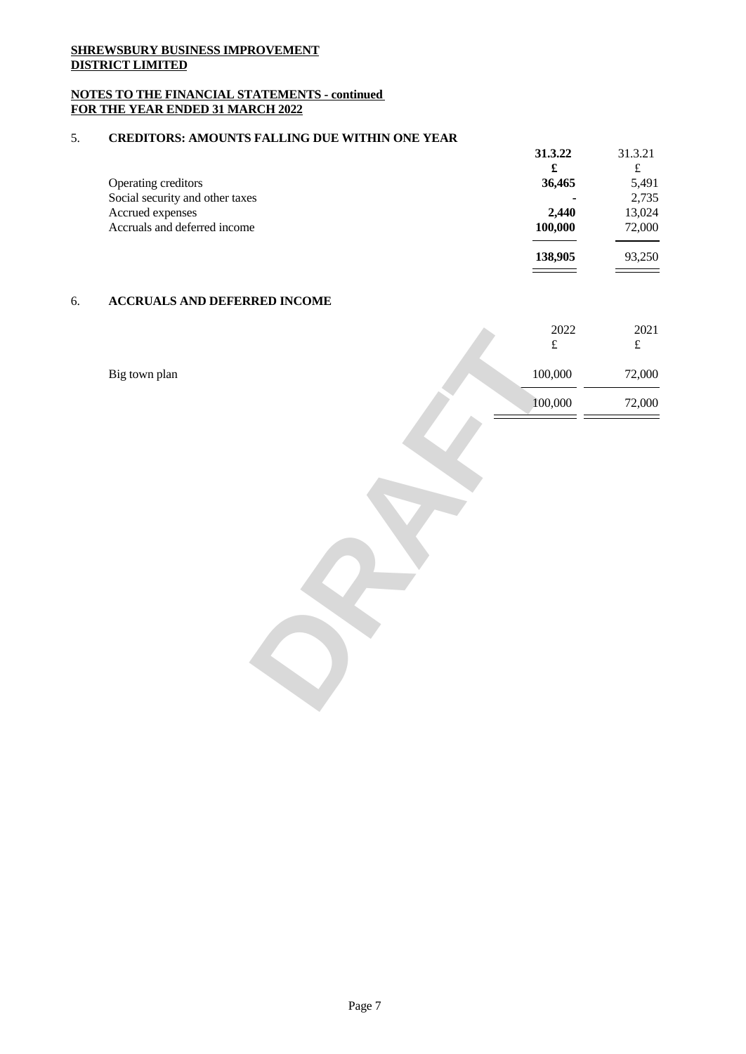## **NOTES TO THE FINANCIAL STATEMENTS - continued FOR THE YEAR ENDED 31 MARCH 2022**

## 5. **CREDITORS: AMOUNTS FALLING DUE WITHIN ONE YEAR**

|                                 | 31.3.22                  | 31.3.21 |  |
|---------------------------------|--------------------------|---------|--|
|                                 | £                        | £       |  |
| Operating creditors             | 36,465                   | 5,491   |  |
| Social security and other taxes | $\overline{\phantom{0}}$ | 2,735   |  |
| Accrued expenses                | 2.440                    | 13,024  |  |
| Accruals and deferred income    | 100,000                  | 72,000  |  |
|                                 | 138,905                  | 93,250  |  |
|                                 |                          |         |  |

# 6. **ACCRUALS AND DEFERRED INCOME**

|               | 2022<br>f | $\begin{array}{c} 2021 \\ \text{£} \end{array}$ |
|---------------|-----------|-------------------------------------------------|
| Big town plan | 100,000   | 72,000                                          |
|               | 100,000   | 72,000                                          |
|               |           |                                                 |
|               |           |                                                 |
|               |           |                                                 |
|               |           |                                                 |
|               |           |                                                 |
|               |           |                                                 |
|               |           |                                                 |
|               |           |                                                 |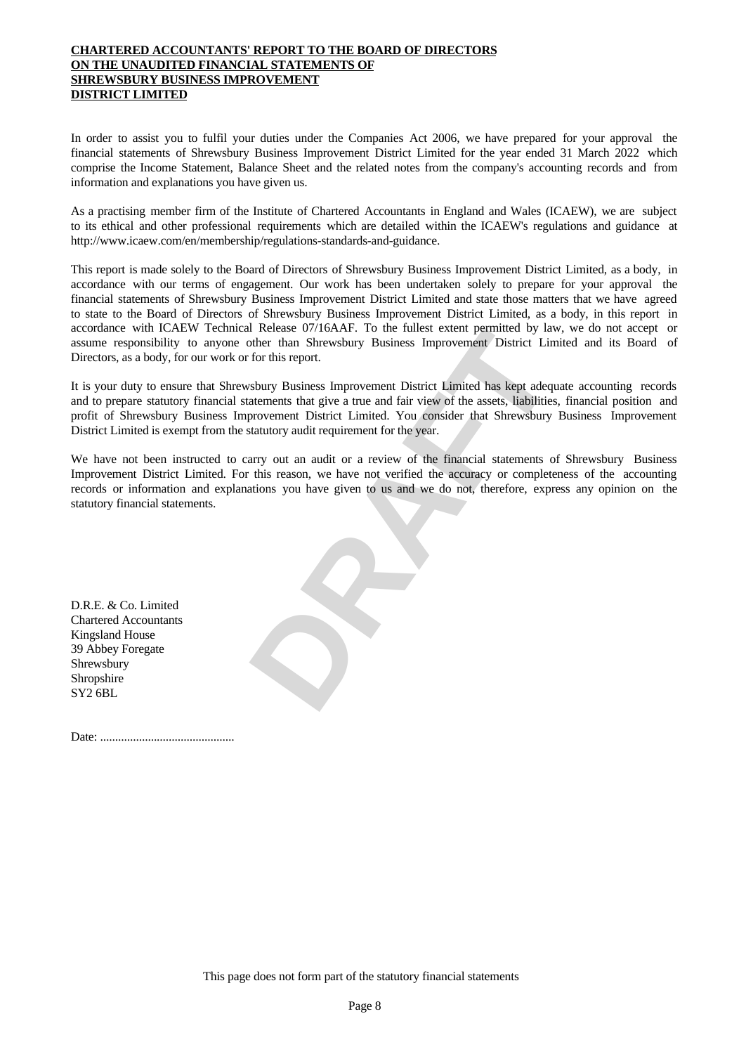## **CHARTERED ACCOUNTANTS' REPORT TO THE BOARD OF DIRECTORS ON THE UNAUDITED FINANCIAL STATEMENTS OF SHREWSBURY BUSINESS IMPROVEMENT DISTRICT LIMITED**

In order to assist you to fulfil your duties under the Companies Act 2006, we have prepared for your approval the financial statements of Shrewsbury Business Improvement District Limited for the year ended 31 March 2022 which comprise the Income Statement, Balance Sheet and the related notes from the company's accounting records and from information and explanations you have given us.

As a practising member firm of the Institute of Chartered Accountants in England and Wales (ICAEW), we are subject to its ethicaland other professional requirements which are detailed within the ICAEW's regulations and guidance at http://www.icaew.com/en/membership/regulations-standards-and-guidance.

This report is made solely to the Board of Directors of Shrewsbury Business Improvement District Limited, as a body, in accordance with our terms of engagement. Our work has been undertaken solely to prepare for your approval the financial statements of Shrewsbury Business Improvement District Limited and state those matters that we have agreed to state to the Board of Directors of Shrewsbury Business Improvement District Limited, as a body, in this report in accordance with ICAEW Technical Release 07/16AAF. To the fullest extent permitted by law, we do not accept or assume responsibility to anyone other than Shrewsbury Business Improvement District Limited and its Board of Directors, as a body, for our work or for this report.

In Release 0//16AAF. To the tultest extent permitted by law, we do not accept or<br>tother than Shrewsbury Business Improvement District Limited and its Board of<br>for this report.<br>shury Business Improvement District Limited ha It is your duty to ensure that Shrewsbury Business Improvement District Limited has kept adequate accounting records and to prepare statutory financial statements that give a true and fair view of the assets, liabilities, financial position and profit of Shrewsbury Business Improvement District Limited. You consider that Shrewsbury Business Improvement District Limited is exempt from the statutory audit requirement for the year.

We have not been instructed to carry out an audit or a review of the financial statements of Shrewsbury Business Improvement District Limited. For this reason, we have not verified the accuracy or completeness of the accounting records or information and explanations you have given to us and we do not, therefore, express any opinion on the statutory financial statements.

D.R.E. & Co. Limited Chartered Accountants Kingsland House 39 Abbey Foregate Shrewsbury Shropshire SY2 6BL

Date: .............................................